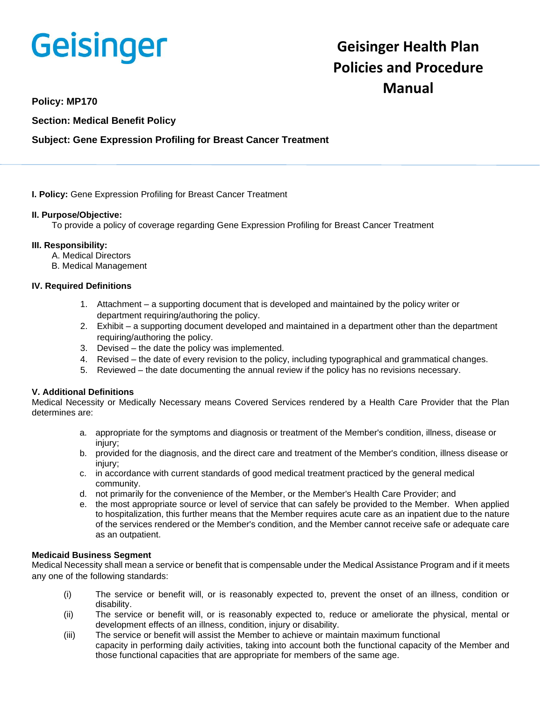# **Geisinger**

# **Geisinger Health Plan Policies and Procedure Manual**

**Policy: MP170**

**Section: Medical Benefit Policy**

# **Subject: Gene Expression Profiling for Breast Cancer Treatment**

**I. Policy:** Gene Expression Profiling for Breast Cancer Treatment

#### **II. Purpose/Objective:**

To provide a policy of coverage regarding Gene Expression Profiling for Breast Cancer Treatment

#### **III. Responsibility:**

- A. Medical Directors
- B. Medical Management

#### **IV. Required Definitions**

- 1. Attachment a supporting document that is developed and maintained by the policy writer or department requiring/authoring the policy.
- 2. Exhibit a supporting document developed and maintained in a department other than the department requiring/authoring the policy.
- 3. Devised the date the policy was implemented.
- 4. Revised the date of every revision to the policy, including typographical and grammatical changes.
- 5. Reviewed the date documenting the annual review if the policy has no revisions necessary.

# **V. Additional Definitions**

Medical Necessity or Medically Necessary means Covered Services rendered by a Health Care Provider that the Plan determines are:

- a. appropriate for the symptoms and diagnosis or treatment of the Member's condition, illness, disease or injury;
- b. provided for the diagnosis, and the direct care and treatment of the Member's condition, illness disease or injury;
- c. in accordance with current standards of good medical treatment practiced by the general medical community.
- d. not primarily for the convenience of the Member, or the Member's Health Care Provider; and
- e. the most appropriate source or level of service that can safely be provided to the Member. When applied to hospitalization, this further means that the Member requires acute care as an inpatient due to the nature of the services rendered or the Member's condition, and the Member cannot receive safe or adequate care as an outpatient.

#### **Medicaid Business Segment**

Medical Necessity shall mean a service or benefit that is compensable under the Medical Assistance Program and if it meets any one of the following standards:

- (i) The service or benefit will, or is reasonably expected to, prevent the onset of an illness, condition or disability.
- (ii) The service or benefit will, or is reasonably expected to, reduce or ameliorate the physical, mental or development effects of an illness, condition, injury or disability.
- (iii) The service or benefit will assist the Member to achieve or maintain maximum functional capacity in performing daily activities, taking into account both the functional capacity of the Member and those functional capacities that are appropriate for members of the same age.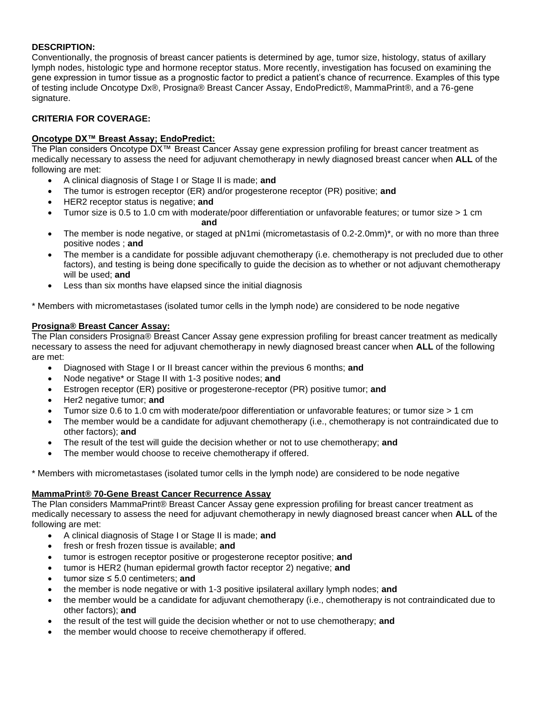# **DESCRIPTION:**

Conventionally, the prognosis of breast cancer patients is determined by age, tumor size, histology, status of axillary lymph nodes, histologic type and hormone receptor status. More recently, investigation has focused on examining the gene expression in tumor tissue as a prognostic factor to predict a patient's chance of recurrence. Examples of this type of testing include Oncotype Dx®, Prosigna® Breast Cancer Assay, EndoPredict®, MammaPrint®, and a 76-gene signature.

# **CRITERIA FOR COVERAGE:**

# **Oncotype DX™ Breast Assay; EndoPredict:**

The Plan considers Oncotype DX™ Breast Cancer Assay gene expression profiling for breast cancer treatment as medically necessary to assess the need for adjuvant chemotherapy in newly diagnosed breast cancer when **ALL** of the following are met:

- A clinical diagnosis of Stage I or Stage II is made; **and**
- The tumor is estrogen receptor (ER) and/or progesterone receptor (PR) positive; **and**
- HER2 receptor status is negative; **and**
- Tumor size is 0.5 to 1.0 cm with moderate/poor differentiation or unfavorable features; or tumor size > 1 cm **and**
- The member is node negative, or staged at pN1mi (micrometastasis of 0.2-2.0mm)\*, or with no more than three positive nodes ; **and**
- The member is a candidate for possible adjuvant chemotherapy (i.e. chemotherapy is not precluded due to other factors), and testing is being done specifically to guide the decision as to whether or not adjuvant chemotherapy will be used; **and**
- Less than six months have elapsed since the initial diagnosis

\* Members with micrometastases (isolated tumor cells in the lymph node) are considered to be node negative

#### **Prosigna® Breast Cancer Assay:**

The Plan considers Prosigna® Breast Cancer Assay gene expression profiling for breast cancer treatment as medically necessary to assess the need for adjuvant chemotherapy in newly diagnosed breast cancer when **ALL** of the following are met:

- Diagnosed with Stage I or II breast cancer within the previous 6 months; **and**
- Node negative\* or Stage II with 1-3 positive nodes; **and**
- Estrogen receptor (ER) positive or progesterone-receptor (PR) positive tumor; **and**
- Her2 negative tumor; **and**
- Tumor size 0.6 to 1.0 cm with moderate/poor differentiation or unfavorable features; or tumor size > 1 cm
- The member would be a candidate for adjuvant chemotherapy (i.e., chemotherapy is not contraindicated due to other factors); **and**
- The result of the test will guide the decision whether or not to use chemotherapy; **and**
- The member would choose to receive chemotherapy if offered.

\* Members with micrometastases (isolated tumor cells in the lymph node) are considered to be node negative

# **MammaPrint® 70-Gene Breast Cancer Recurrence Assay**

The Plan considers MammaPrint® Breast Cancer Assay gene expression profiling for breast cancer treatment as medically necessary to assess the need for adjuvant chemotherapy in newly diagnosed breast cancer when **ALL** of the following are met:

- A clinical diagnosis of Stage I or Stage II is made; **and**
- fresh or fresh frozen tissue is available; **and**
- tumor is estrogen receptor positive or progesterone receptor positive; **and**
- tumor is HER2 (human epidermal growth factor receptor 2) negative; **and**
- tumor size ≤ 5.0 centimeters; **and**
- the member is node negative or with 1-3 positive ipsilateral axillary lymph nodes; **and**
- the member would be a candidate for adjuvant chemotherapy (i.e., chemotherapy is not contraindicated due to other factors); **and**
- the result of the test will guide the decision whether or not to use chemotherapy; **and**
- the member would choose to receive chemotherapy if offered.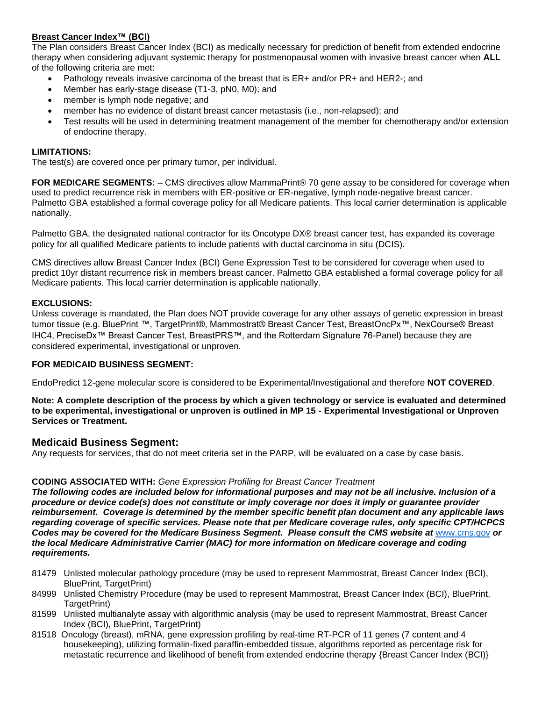# **Breast Cancer Index™ (BCI)**

The Plan considers Breast Cancer Index (BCI) as medically necessary for prediction of benefit from extended endocrine therapy when considering adjuvant systemic therapy for postmenopausal women with invasive breast cancer when **ALL** of the following criteria are met:

- Pathology reveals invasive carcinoma of the breast that is ER+ and/or PR+ and HER2-; and
- Member has early-stage disease (T1-3, pN0, M0); and
- member is lymph node negative; and
- member has no evidence of distant breast cancer metastasis (i.e., non-relapsed); and
- Test results will be used in determining treatment management of the member for chemotherapy and/or extension of endocrine therapy.

#### **LIMITATIONS:**

The test(s) are covered once per primary tumor, per individual.

**FOR MEDICARE SEGMENTS:** – CMS directives allow MammaPrint® 70 gene assay to be considered for coverage when used to predict recurrence risk in members with ER-positive or ER-negative, lymph node-negative breast cancer. Palmetto GBA established a formal coverage policy for all Medicare patients. This local carrier determination is applicable nationally.

Palmetto GBA, the designated national contractor for its Oncotype DX® breast cancer test, has expanded its coverage policy for all qualified Medicare patients to include patients with ductal carcinoma in situ (DCIS).

CMS directives allow Breast Cancer Index (BCI) Gene Expression Test to be considered for coverage when used to predict 10yr distant recurrence risk in members breast cancer. Palmetto GBA established a formal coverage policy for all Medicare patients. This local carrier determination is applicable nationally.

#### **EXCLUSIONS:**

Unless coverage is mandated, the Plan does NOT provide coverage for any other assays of genetic expression in breast tumor tissue (e.g. BluePrint ™, TargetPrint®, Mammostrat® Breast Cancer Test, BreastOncPx™, NexCourse® Breast IHC4, PreciseDx™ Breast Cancer Test, BreastPRS™, and the Rotterdam Signature 76-Panel) because they are considered experimental, investigational or unproven.

#### **FOR MEDICAID BUSINESS SEGMENT:**

EndoPredict 12-gene molecular score is considered to be Experimental/Investigational and therefore **NOT COVERED**.

**Note: A complete description of the process by which a given technology or service is evaluated and determined to be experimental, investigational or unproven is outlined in MP 15 - Experimental Investigational or Unproven Services or Treatment.**

# **Medicaid Business Segment:**

Any requests for services, that do not meet criteria set in the PARP, will be evaluated on a case by case basis.

# **CODING ASSOCIATED WITH:** *Gene Expression Profiling for Breast Cancer Treatment*

*The following codes are included below for informational purposes and may not be all inclusive. Inclusion of a procedure or device code(s) does not constitute or imply coverage nor does it imply or guarantee provider reimbursement. Coverage is determined by the member specific benefit plan document and any applicable laws regarding coverage of specific services. Please note that per Medicare coverage rules, only specific CPT/HCPCS Codes may be covered for the Medicare Business Segment. Please consult the CMS website at* [www.cms.gov](http://www.cms.gov/) *or the local Medicare Administrative Carrier (MAC) for more information on Medicare coverage and coding requirements.*

- 81479 Unlisted molecular pathology procedure (may be used to represent Mammostrat, Breast Cancer Index (BCI), BluePrint, TargetPrint)
- 84999 Unlisted Chemistry Procedure (may be used to represent Mammostrat, Breast Cancer Index (BCI), BluePrint, TargetPrint)
- 81599 Unlisted multianalyte assay with algorithmic analysis (may be used to represent Mammostrat, Breast Cancer Index (BCI), BluePrint, TargetPrint)
- 81518 Oncology (breast), mRNA, gene expression profiling by real-time RT-PCR of 11 genes (7 content and 4 housekeeping), utilizing formalin-fixed paraffin-embedded tissue, algorithms reported as percentage risk for metastatic recurrence and likelihood of benefit from extended endocrine therapy {Breast Cancer Index (BCI)}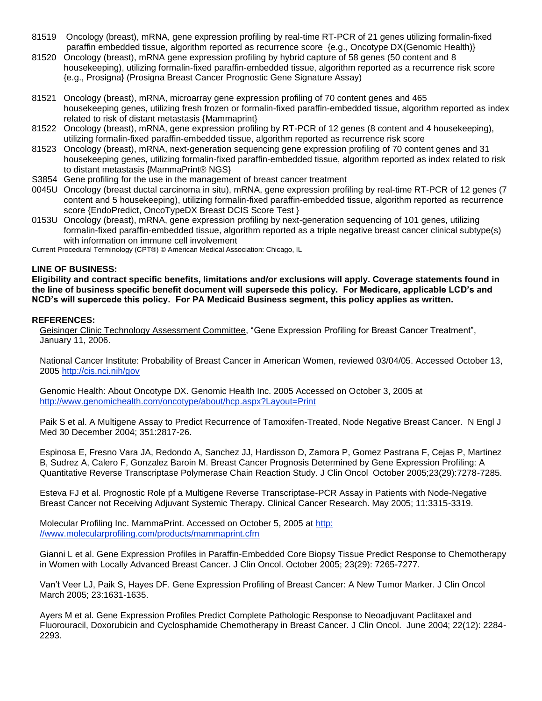- 81519 Oncology (breast), mRNA, gene expression profiling by real-time RT-PCR of 21 genes utilizing formalin-fixed paraffin embedded tissue, algorithm reported as recurrence score {e.g., Oncotype DX(Genomic Health)}
- 81520 Oncology (breast), mRNA gene expression profiling by hybrid capture of 58 genes (50 content and 8 housekeeping), utilizing formalin-fixed paraffin-embedded tissue, algorithm reported as a recurrence risk score {e.g., Prosigna} (Prosigna Breast Cancer Prognostic Gene Signature Assay)
- 81521 Oncology (breast), mRNA, microarray gene expression profiling of 70 content genes and 465 housekeeping genes, utilizing fresh frozen or formalin-fixed paraffin-embedded tissue, algorithm reported as index related to risk of distant metastasis {Mammaprint}
- 81522 Oncology (breast), mRNA, gene expression profiling by RT-PCR of 12 genes (8 content and 4 housekeeping), utilizing formalin-fixed paraffin-embedded tissue, algorithm reported as recurrence risk score
- 81523 Oncology (breast), mRNA, next-generation sequencing gene expression profiling of 70 content genes and 31 housekeeping genes, utilizing formalin-fixed paraffin-embedded tissue, algorithm reported as index related to risk to distant metastasis {MammaPrint® NGS}
- S3854 Gene profiling for the use in the management of breast cancer treatment
- 0045U Oncology (breast ductal carcinoma in situ), mRNA, gene expression profiling by real-time RT-PCR of 12 genes (7 content and 5 housekeeping), utilizing formalin-fixed paraffin-embedded tissue, algorithm reported as recurrence score {EndoPredict, OncoTypeDX Breast DCIS Score Test }
- 0153U Oncology (breast), mRNA, gene expression profiling by next-generation sequencing of 101 genes, utilizing formalin-fixed paraffin-embedded tissue, algorithm reported as a triple negative breast cancer clinical subtype(s) with information on immune cell involvement

Current Procedural Terminology (CPT®) © American Medical Association: Chicago, IL

#### **LINE OF BUSINESS:**

**Eligibility and contract specific benefits, limitations and/or exclusions will apply. Coverage statements found in the line of business specific benefit document will supersede this policy. For Medicare, applicable LCD's and NCD's will supercede this policy. For PA Medicaid Business segment, this policy applies as written.**

#### **REFERENCES:**

Geisinger Clinic Technology Assessment Committee, "Gene Expression Profiling for Breast Cancer Treatment", January 11, 2006.

National Cancer Institute: Probability of Breast Cancer in American Women, reviewed 03/04/05. Accessed October 13, 2005<http://cis.nci.nih/gov>

Genomic Health: About Oncotype DX. Genomic Health Inc. 2005 Accessed on October 3, 2005 at <http://www.genomichealth.com/oncotype/about/hcp.aspx?Layout=Print>

Paik S et al. A Multigene Assay to Predict Recurrence of Tamoxifen-Treated, Node Negative Breast Cancer. N Engl J Med 30 December 2004; 351:2817-26.

Espinosa E, Fresno Vara JA, Redondo A, Sanchez JJ, Hardisson D, Zamora P, Gomez Pastrana F, Cejas P, Martinez B, Sudrez A, Calero F, Gonzalez Baroin M. Breast Cancer Prognosis Determined by Gene Expression Profiling: A Quantitative Reverse Transcriptase Polymerase Chain Reaction Study. J Clin Oncol October 2005;23(29):7278-7285.

Esteva FJ et al. Prognostic Role pf a Multigene Reverse Transcriptase-PCR Assay in Patients with Node-Negative Breast Cancer not Receiving Adjuvant Systemic Therapy. Clinical Cancer Research. May 2005; 11:3315-3319.

Molecular Profiling Inc. MammaPrint. Accessed on October 5, 2005 at http: //www.molecularprofiling.com/products/mammaprint.cfm

Gianni L et al. Gene Expression Profiles in Paraffin-Embedded Core Biopsy Tissue Predict Response to Chemotherapy in Women with Locally Advanced Breast Cancer. J Clin Oncol. October 2005; 23(29): 7265-7277.

Van't Veer LJ, Paik S, Hayes DF. Gene Expression Profiling of Breast Cancer: A New Tumor Marker. J Clin Oncol March 2005; 23:1631-1635.

Ayers M et al. Gene Expression Profiles Predict Complete Pathologic Response to Neoadjuvant Paclitaxel and Fluorouracil, Doxorubicin and Cyclosphamide Chemotherapy in Breast Cancer. J Clin Oncol. June 2004; 22(12): 2284- 2293.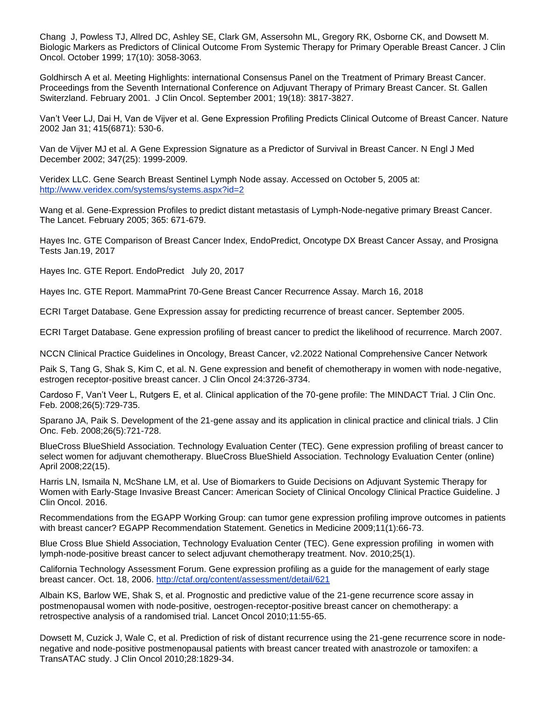Chang J, Powless TJ, Allred DC, Ashley SE, Clark GM, Assersohn ML, Gregory RK, Osborne CK, and Dowsett M. Biologic Markers as Predictors of Clinical Outcome From Systemic Therapy for Primary Operable Breast Cancer. J Clin Oncol. October 1999; 17(10): 3058-3063.

Goldhirsch A et al. Meeting Highlights: international Consensus Panel on the Treatment of Primary Breast Cancer. Proceedings from the Seventh International Conference on Adjuvant Therapy of Primary Breast Cancer. St. Gallen Switerzland. February 2001. J Clin Oncol. September 2001; 19(18): 3817-3827.

Van't Veer LJ, Dai H, Van de Vijver et al. Gene Expression Profiling Predicts Clinical Outcome of Breast Cancer. Nature 2002 Jan 31; 415(6871): 530-6.

Van de Vijver MJ et al. A Gene Expression Signature as a Predictor of Survival in Breast Cancer. N Engl J Med December 2002; 347(25): 1999-2009.

Veridex LLC. Gene Search Breast Sentinel Lymph Node assay. Accessed on October 5, 2005 at: <http://www.veridex.com/systems/systems.aspx?id=2>

Wang et al. Gene-Expression Profiles to predict distant metastasis of Lymph-Node-negative primary Breast Cancer. The Lancet. February 2005; 365: 671-679.

Hayes Inc. GTE Comparison of Breast Cancer Index, EndoPredict, Oncotype DX Breast Cancer Assay, and Prosigna Tests Jan.19, 2017

Hayes Inc. GTE Report. EndoPredict July 20, 2017

Hayes Inc. GTE Report. MammaPrint 70-Gene Breast Cancer Recurrence Assay. March 16, 2018

ECRI Target Database. Gene Expression assay for predicting recurrence of breast cancer. September 2005.

ECRI Target Database. Gene expression profiling of breast cancer to predict the likelihood of recurrence. March 2007.

NCCN Clinical Practice Guidelines in Oncology, Breast Cancer, v2.2022 National Comprehensive Cancer Network

Paik S, Tang G, Shak S, Kim C, et al. N. Gene expression and benefit of chemotherapy in women with node-negative, estrogen receptor-positive breast cancer. J Clin Oncol 24:3726-3734.

Cardoso F, Van't Veer L, Rutgers E, et al. Clinical application of the 70-gene profile: The MINDACT Trial. J Clin Onc. Feb. 2008;26(5):729-735.

Sparano JA, Paik S. Development of the 21-gene assay and its application in clinical practice and clinical trials. J Clin Onc. Feb. 2008;26(5):721-728.

BlueCross BlueShield Association. Technology Evaluation Center (TEC). Gene expression profiling of breast cancer to select women for adjuvant chemotherapy. BlueCross BlueShield Association. Technology Evaluation Center (online) April 2008;22(15).

Harris LN, Ismaila N, McShane LM, et al. Use of Biomarkers to Guide Decisions on Adjuvant Systemic Therapy for Women with Early-Stage Invasive Breast Cancer: American Society of Clinical Oncology Clinical Practice Guideline. J Clin Oncol. 2016.

Recommendations from the EGAPP Working Group: can tumor gene expression profiling improve outcomes in patients with breast cancer? EGAPP Recommendation Statement. Genetics in Medicine 2009;11(1):66-73.

Blue Cross Blue Shield Association, Technology Evaluation Center (TEC). Gene expression profiling in women with lymph-node-positive breast cancer to select adjuvant chemotherapy treatment. Nov. 2010;25(1).

California Technology Assessment Forum. Gene expression profiling as a guide for the management of early stage breast cancer. Oct. 18, 2006.<http://ctaf.org/content/assessment/detail/621>

Albain KS, Barlow WE, Shak S, et al. Prognostic and predictive value of the 21-gene recurrence score assay in postmenopausal women with node-positive, oestrogen-receptor-positive breast cancer on chemotherapy: a retrospective analysis of a randomised trial. Lancet Oncol 2010;11:55-65.

Dowsett M, Cuzick J, Wale C, et al. Prediction of risk of distant recurrence using the 21-gene recurrence score in nodenegative and node-positive postmenopausal patients with breast cancer treated with anastrozole or tamoxifen: a TransATAC study. J Clin Oncol 2010;28:1829-34.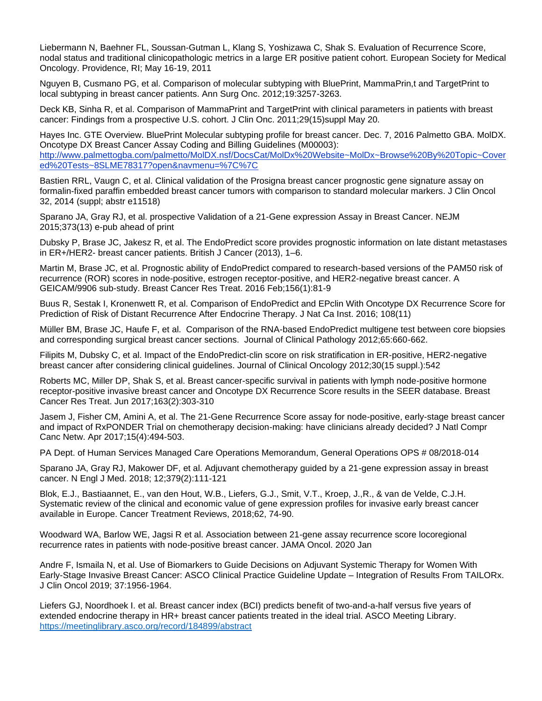Liebermann N, Baehner FL, Soussan-Gutman L, Klang S, Yoshizawa C, Shak S. Evaluation of Recurrence Score, nodal status and traditional clinicopathologic metrics in a large ER positive patient cohort. European Society for Medical Oncology. Providence, RI; May 16-19, 2011

Nguyen B, Cusmano PG, et al. Comparison of molecular subtyping with BluePrint, MammaPrin,t and TargetPrint to local subtyping in breast cancer patients. Ann Surg Onc. 2012;19:3257-3263.

Deck KB, Sinha R, et al. Comparison of MammaPrint and TargetPrint with clinical parameters in patients with breast cancer: Findings from a prospective U.S. cohort. J Clin Onc. 2011;29(15)suppl May 20.

Hayes Inc. GTE Overview. BluePrint Molecular subtyping profile for breast cancer. Dec. 7, 2016 Palmetto GBA. MolDX. Oncotype DX Breast Cancer Assay Coding and Billing Guidelines (M00003): [http://www.palmettogba.com/palmetto/MolDX.nsf/DocsCat/MolDx%20Website~MolDx~Browse%20By%20Topic~Cover](http://www.palmettogba.com/palmetto/MolDX.nsf/DocsCat/MolDx%20Website~MolDx~Browse%20By%20Topic~Covered%20Tests~8SLME78317?open&navmenu=%7C%7C) [ed%20Tests~8SLME78317?open&navmenu=%7C%7C](http://www.palmettogba.com/palmetto/MolDX.nsf/DocsCat/MolDx%20Website~MolDx~Browse%20By%20Topic~Covered%20Tests~8SLME78317?open&navmenu=%7C%7C)

Bastien RRL, Vaugn C, et al. Clinical validation of the Prosigna breast cancer prognostic gene signature assay on formalin-fixed paraffin embedded breast cancer tumors with comparison to standard molecular markers. J Clin Oncol 32, 2014 (suppl; abstr e11518)

Sparano JA, Gray RJ, et al. prospective Validation of a 21-Gene expression Assay in Breast Cancer. NEJM 2015;373(13) e-pub ahead of print

Dubsky P, Brase JC, Jakesz R, et al. The EndoPredict score provides prognostic information on late distant metastases in ER+/HER2- breast cancer patients. British J Cancer (2013), 1–6.

Martin M, Brase JC, et al. Prognostic ability of EndoPredict compared to research-based versions of the PAM50 risk of recurrence (ROR) scores in node-positive, estrogen receptor-positive, and HER2-negative breast cancer. A GEICAM/9906 sub-study. Breast Cancer Res Treat. 2016 Feb;156(1):81-9

Buus R, Sestak I, Kronenwett R, et al. Comparison of EndoPredict and EPclin With Oncotype DX Recurrence Score for Prediction of Risk of Distant Recurrence After Endocrine Therapy. J Nat Ca Inst. 2016; 108(11)

Müller BM, Brase JC, Haufe F, et al. Comparison of the RNA-based EndoPredict multigene test between core biopsies and corresponding surgical breast cancer sections. Journal of Clinical Pathology 2012;65:660-662.

Filipits M, Dubsky C, et al. Impact of the EndoPredict-clin score on risk stratification in ER-positive, HER2-negative breast cancer after considering clinical guidelines. Journal of Clinical Oncology 2012;30(15 suppl.):542

Roberts MC, Miller DP, Shak S, et al. Breast cancer-specific survival in patients with lymph node-positive hormone receptor-positive invasive breast cancer and Oncotype DX Recurrence Score results in the SEER database. Breast Cancer Res Treat. Jun 2017;163(2):303-310

Jasem J, Fisher CM, Amini A, et al. The 21-Gene Recurrence Score assay for node-positive, early-stage breast cancer and impact of RxPONDER Trial on chemotherapy decision-making: have clinicians already decided? J Natl Compr Canc Netw. Apr 2017;15(4):494-503.

PA Dept. of Human Services Managed Care Operations Memorandum, General Operations OPS # 08/2018-014

Sparano JA, Gray RJ, Makower DF, et al. Adjuvant chemotherapy guided by a 21-gene expression assay in breast cancer. N Engl J Med. 2018; 12;379(2):111-121

Blok, E.J., Bastiaannet, E., van den Hout, W.B., Liefers, G.J., Smit, V.T., Kroep, J.,R., & van de Velde, C.J.H. Systematic review of the clinical and economic value of gene expression profiles for invasive early breast cancer available in Europe. Cancer Treatment Reviews, 2018;62, 74-90.

Woodward WA, Barlow WE, Jagsi R et al. Association between 21-gene assay recurrence score locoregional recurrence rates in patients with node-positive breast cancer. JAMA Oncol. 2020 Jan

Andre F, Ismaila N, et al. Use of Biomarkers to Guide Decisions on Adjuvant Systemic Therapy for Women With Early-Stage Invasive Breast Cancer: ASCO Clinical Practice Guideline Update – Integration of Results From TAILORx. J Clin Oncol 2019; 37:1956-1964.

Liefers GJ, Noordhoek I. et al. Breast cancer index (BCI) predicts benefit of two-and-a-half versus five years of extended endocrine therapy in HR+ breast cancer patients treated in the ideal trial. ASCO Meeting Library. <https://meetinglibrary.asco.org/record/184899/abstract>